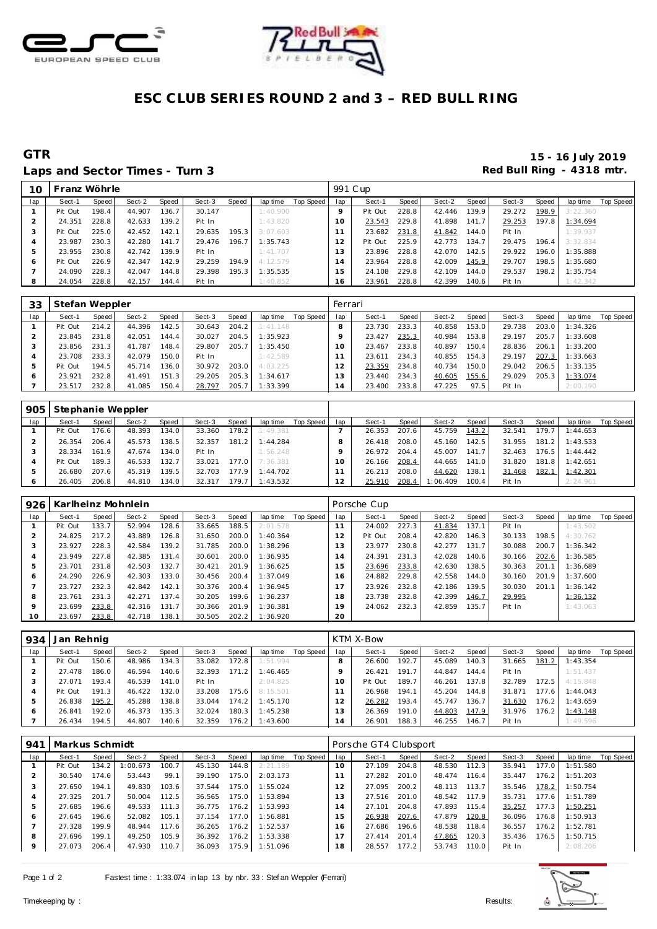



# **ESC CLUB SERIES ROUND 2 and 3 – RED BULL RING**

### Laps and Sector Times - Turn 3 **Red Bull Ring - 4318 mtr. Red Bull Ring - 4318 mtr.**

**GTR 15 - 16 July 2019**

| 10  | Franz Wöhrle |       |        |       |        |       |          |           | 991 C up |         |       |        |       |        |       |          |           |
|-----|--------------|-------|--------|-------|--------|-------|----------|-----------|----------|---------|-------|--------|-------|--------|-------|----------|-----------|
| lap | Sect-1       | Speed | Sect-2 | Speed | Sect-3 | Speed | lap time | Top Speed | lap      | Sect-1  | Speed | Sect-2 | Speed | Sect-3 | Speed | lap time | Top Speed |
|     | Pit Out      | 198.4 | 44.907 | 136.7 | 30.147 |       | 1:40.900 |           |          | Pit Out | 228.8 | 42.446 | 139.9 | 29.272 | 198.9 | 3:22.360 |           |
|     | 24.351       | 228.8 | 42.633 | 139.2 | Pit In |       | 1:43.820 |           |          | 23.543  | 229.8 | 41.898 | 141.7 | 29.253 | 197.8 | 1:34.694 |           |
|     | Pit Out      | 225.0 | 42.452 | 142.1 | 29.635 | 195.3 | 3:07.603 |           |          | 23.682  | 231.8 | 41.842 | 144.0 | Pit In |       | 1:39.937 |           |
|     | 23.987       | 230.3 | 42.280 | 141.7 | 29.476 | 196.7 | 1:35.743 |           |          | Pit Out | 225.9 | 42.773 | 134.7 | 29.475 | 196.4 | 3:32.834 |           |
|     | 23.955       | 230.8 | 42.742 | 139.9 | Pit In |       | 1:41.707 |           | 3        | 23.896  | 228.8 | 42.070 | 142.5 | 29.922 | 196.0 | 1:35.888 |           |
| O   | Pit Out      | 226.9 | 42.347 | 142.9 | 29.259 | 194.9 | 4:12.579 |           | 14       | 23.964  | 228.8 | 42.009 | 145.9 | 29.707 | 198.5 | 1:35.680 |           |
|     | 24.090       | 228.3 | 42.047 | 144.8 | 29.398 | 195.3 | 1:35.535 |           | -5       | 24.108  | 229.8 | 42.109 | 144.0 | 29.537 | 198.2 | 1:35.754 |           |
| 8   | 24.054       | 228.8 | 42.157 | 144.4 | Pit In |       | 1:40.852 |           | 16       | 23.961  | 228.8 | 42.399 | 140.6 | Pit In |       | 1:42.342 |           |
|     |              |       |        |       |        |       |          |           |          |         |       |        |       |        |       |          |           |

| 33  | Stefan Weppler |       |        |       |        |       |          |           | Ferrari |        |       |        |       |        |       |          |           |
|-----|----------------|-------|--------|-------|--------|-------|----------|-----------|---------|--------|-------|--------|-------|--------|-------|----------|-----------|
| lap | Sect-1         | Speed | Sect-2 | Speed | Sect-3 | Speed | lap time | Top Speed | lap     | Sect-1 | Speed | Sect-2 | Speed | Sect-3 | Speed | lap time | Top Speed |
|     | Pit Out        | 214.2 | 44.396 | 142.5 | 30.643 | 204.2 | 1:41.148 |           |         | 23.730 | 233.3 | 40.858 | 153.0 | 29.738 | 203.0 | 1:34.326 |           |
|     | 23.845         | 231.8 | 42.051 | 144.4 | 30.027 | 204.5 | 1:35.923 |           |         | 23.427 | 235.3 | 40.984 | 153.8 | 29.197 | 205.7 | 1:33.608 |           |
|     | 23.856         | 231.3 | 41.787 | 148.4 | 29.807 | 205.7 | 1:35.450 |           | $\circ$ | 23.467 | 233.8 | 40.897 | 150.4 | 28.836 | 206.1 | 1:33.200 |           |
|     | 23.708         | 233.3 | 42.079 | 150.0 | Pit In |       | 1:42.589 |           |         | 23.611 | 234.3 | 40.855 | 154.3 | 29.197 | 207.3 | 1:33.663 |           |
|     | Pit Out        | 194.5 | 45.714 | 136.0 | 30.972 | 203.0 | 4:03.225 |           |         | 23.359 | 234.8 | 40.734 | 150.0 | 29.042 | 206.5 | 1:33.135 |           |
| 6   | 23.921         | 232.8 | 41.491 | 151.3 | 29.205 | 205.3 | 1:34.617 |           |         | 23.440 | 234.3 | 40.605 | 155.6 | 29.029 | 205.3 | 1:33.074 |           |
|     | 23.517         | 232.8 | 41.085 | 150.4 | 28.797 | 205.7 | 1:33.399 |           | 4       | 23.400 | 233.8 | 47.225 | 97.5  | Pit In |       | 2:00.190 |           |

| 905 | Stephanie Weppler |        |        |        |        |                    |          |           |     |        |       |          |       |        |       |          |           |
|-----|-------------------|--------|--------|--------|--------|--------------------|----------|-----------|-----|--------|-------|----------|-------|--------|-------|----------|-----------|
| lap | Sect-1            | Speed  | Sect-2 | Speed  | Sect-3 | Speed              | lap time | Top Speed | lap | Sect-1 | Speed | Sect-2   | Speed | Sect-3 | Speed | lap time | Top Speed |
|     | Pit Out           | 176.6  | 48.393 | 134.0  | 33.360 | 178.2              | 1:49.381 |           |     | 26.353 | 207.6 | 45.759   | 143.2 | 32.541 | 179.7 | 1:44.653 |           |
|     | 26.354            | 206.4  | 45.573 | 138.5  | 32.357 | 181.2              | 1:44.284 |           |     | 26.418 | 208.0 | 45.160   | 142.5 | 31.955 | 181.2 | 1:43.533 |           |
|     | 28.334            | 161.9  | 47.674 | 134.0. | Pit In |                    | 1:56.248 |           |     | 26.972 | 204.4 | 45.007   | 141.  | 32.463 | 176.5 | 1:44.442 |           |
|     | Pit Out           | 189.31 | 46.533 | 132.7  | 33.021 | 177.0              | 7:36.381 |           |     | 26.166 | 208.4 | 44.665   | 141.0 | 31.820 | 181.8 | 1:42.651 |           |
| -5  | 26.680            | 207.6  | 45.319 | 139.5  | 32.703 | 177.91             | 1:44.702 |           |     | 26.213 | 208.0 | 44.620   | 38.1  | 31.468 | 182.1 | 1:42.301 |           |
|     | 26.405            | 206.8  | 44.810 | 134.0  | 32.317 | 179.7 <sub>1</sub> | 1:43.532 |           |     | 25.910 | 208.4 | 1:06.409 | 100.4 | Pit In |       | 2:24.961 |           |

| 926     |         |       | Karlheinz Mohnlein |       |        |       |          |           |                | Porsche Cup |       |        |       |        |       |          |           |
|---------|---------|-------|--------------------|-------|--------|-------|----------|-----------|----------------|-------------|-------|--------|-------|--------|-------|----------|-----------|
| lap     | Sect-1  | Speed | Sect-2             | Speed | Sect-3 | Speed | lap time | Top Speed | lap            | Sect-1      | Speed | Sect-2 | Speed | Sect-3 | Speed | lap time | Top Speed |
|         | Pit Out | 133.7 | 52.994             | 128.6 | 33.665 | 188.5 | 2:01.578 |           |                | 24.002      | 227.3 | 41.834 | 137.1 | Pit In |       | 1:43.502 |           |
|         | 24.825  | 217.2 | 43.889             | 126.8 | 31.650 | 200.0 | 1:40.364 |           | $\overline{2}$ | Pit Out     | 208.4 | 42.820 | 146.3 | 30.133 | 198.5 | 4:30.762 |           |
| З       | 23.927  | 228.3 | 42.584             | 139.2 | 31.785 | 200.0 | 1:38.296 |           | 3              | 23.977      | 230.8 | 42.277 | 131.7 | 30.088 | 200.7 | 1:36.342 |           |
| 4       | 23.949  | 227.8 | 42.385             | 131.4 | 30.601 | 200.0 | 1:36.935 |           | $\overline{A}$ | 24.391      | 231.3 | 42.028 | 140.6 | 30.166 | 202.6 | 1:36.585 |           |
| 5       | 23.701  | 231.8 | 42.503             | 132.7 | 30.421 | 201.9 | 1:36.625 |           | 5              | 23.696      | 233.8 | 42.630 | 138.5 | 30.363 | 201.1 | 1:36.689 |           |
| O       | 24.290  | 226.9 | 42.303             | 133.0 | 30.456 | 200.4 | 1:37.049 |           | 6              | 24.882      | 229.8 | 42.558 | 144.0 | 30.160 | 201.9 | 1:37.600 |           |
|         | 23.727  | 232.3 | 42.842             | 142.1 | 30.376 | 200.4 | 1:36.945 |           |                | 23.926      | 232.8 | 42.186 | 139.5 | 30.030 | 201.1 | 1:36.142 |           |
| 8       | 23.761  | 231.3 | 42.271             | 137.4 | 30.205 | 199.6 | 1:36.237 |           | 18             | 23.738      | 232.8 | 42.399 | 146.7 | 29.995 |       | 1:36.132 |           |
| $\circ$ | 23.699  | 233.8 | 42.316             | 131.7 | 30.366 | 201.9 | 1:36.381 |           | 19             | 24.062      | 232.3 | 42.859 | 135.7 | Pit In |       | 1:43.063 |           |
| 10      | 23.697  | 233.8 | 42.718             | 138.1 | 30.505 | 202.2 | 1:36.920 |           | 20             |             |       |        |       |        |       |          |           |

| 934          | Jan Rehnig |       |        |       |        |       |          |           |     | KTM X-Bow |       |        |       |        |       |          |           |
|--------------|------------|-------|--------|-------|--------|-------|----------|-----------|-----|-----------|-------|--------|-------|--------|-------|----------|-----------|
| lap          | Sect-1     | Speed | Sect-2 | Speed | Sect-3 | Speed | lap time | Top Speed | lap | Sect-1    | Speed | Sect-2 | Speed | Sect-3 | Speed | lap time | Top Speed |
|              | Pit Out    | 150.6 | 48.986 | 134.3 | 33.082 | 172.8 | 1:51.994 |           | 8   | 26.600    | 192.7 | 45.089 | 140.3 | 31.665 | 181.2 | 1:43.354 |           |
|              | 27.478     | 186.0 | 46.594 | 140.6 | 32.393 | 171.2 | 1:46.465 |           |     | 26.421    | 191.7 | 44.847 | 144.4 | Pit In |       | 1:51.437 |           |
|              | 27.071     | 193.4 | 46.539 | 141.0 | Pit In |       | 2:04.825 |           |     | Pit Out   | 189.7 | 46.261 | 137.8 | 32.789 | 172.5 | 4:15.848 |           |
|              | Pit Out    | 191.3 | 46.422 | 132.0 | 33.208 | 175.6 | 8:15.501 |           |     | 26.968    | 194.1 | 45.204 | 144.8 | 31.871 | 177.6 | 1:44.043 |           |
| 5            | 26.838     | 195.2 | 45.288 | 38.8  | 33.044 | 174.2 | 1:45.170 |           | 12  | 26.282    | 193.4 | 45.747 | 136.7 | 31.630 | 176.2 | 1:43.659 |           |
| <sup>6</sup> | 26.841     | 192.0 | 46.373 | 135.3 | 32.024 | 180.3 | 1:45.238 |           | 13  | 26.369    | 191.0 | 44.803 | 147.9 | 31.976 | 176.2 | 1:43.148 |           |
|              | 26.434     | 194.5 | 44.807 | 140.6 | 32.359 | 176.2 | 1:43.600 |           | 14  | 26.901    | 188.3 | 46.255 | 146.7 | Pit In |       | 1:49.596 |           |

| 941     | Markus Schmidt |       |         |       |        |       |                |           |                | Porsche GT4 Clubsport |       |        |       |        |       |          |           |
|---------|----------------|-------|---------|-------|--------|-------|----------------|-----------|----------------|-----------------------|-------|--------|-------|--------|-------|----------|-----------|
| lap     | Sect-1         | Speed | Sect-2  | Speed | Sect-3 | Speed | lap time       | Top Speed | lap            | Sect-1                | Speed | Sect-2 | Speed | Sect-3 | Speed | lap time | Top Speed |
|         | Pit Out        | 134.2 | :00.673 | 100.7 | 45.130 | 144.8 | 2:21.189       |           | 10             | 27.109                | 204.8 | 48.530 | 112.3 | 35.941 | 177.0 | 1:51.580 |           |
|         | 30.540         | 174.6 | 53.443  | 99.1  | 39.190 | 175.0 | 2:03.173       |           | 11             | 27.282                | 201.0 | 48.474 | 116.4 | 35.447 | 176.2 | 1:51.203 |           |
| 3       | 27.650         | 194.1 | 49.830  | 103.6 | 37.544 | 175.0 | 1:55.024       |           | 12             | 27.095                | 200.2 | 48.113 | 113.7 | 35.546 | 178.2 | 1:50.754 |           |
| 4       | 27.325         | 201.7 | 50.004  | 112.5 | 36.565 | 175.0 | 1:53.894       |           | 13             | 27.516                | 201.0 | 48.542 | 117.9 | 35.731 | 177.6 | 1:51.789 |           |
| 5       | 27.685         | 196.6 | 49.533  | 111.3 | 36.775 | 176.2 | 1:53.993       |           | $\overline{4}$ | 27.101                | 204.8 | 47.893 | 115.4 | 35.257 | 177.3 | 1:50.251 |           |
| 6       | 27.645         | 196.6 | 52.082  | 105.1 | 37.154 | 177.0 | 1:56.881       |           | 15             | 26.938                | 207.6 | 47.879 | 120.8 | 36.096 | 176.8 | 1:50.913 |           |
|         | 27.328         | 199.9 | 48.944  | 117.6 | 36.265 | 176.2 | 1:52.537       |           | 6              | 27.686                | 196.6 | 48.538 | 118.4 | 36.557 | 176.2 | 1:52.781 |           |
| 8       | 27.696         | 199.1 | 49.250  | 105.9 | 36.392 | 176.2 | 1:53.338       |           | 17             | 27.414                | 201.4 | 47.865 | 120.3 | 35.436 | 176.5 | 1:50.715 |           |
| $\circ$ | 27.073         | 206.4 | 47.930  | 110.7 | 36.093 |       | 175.9 1:51.096 |           | 18             | 28.557                | 177.2 | 53.743 | 110.0 | Pit In |       | 2:08.206 |           |